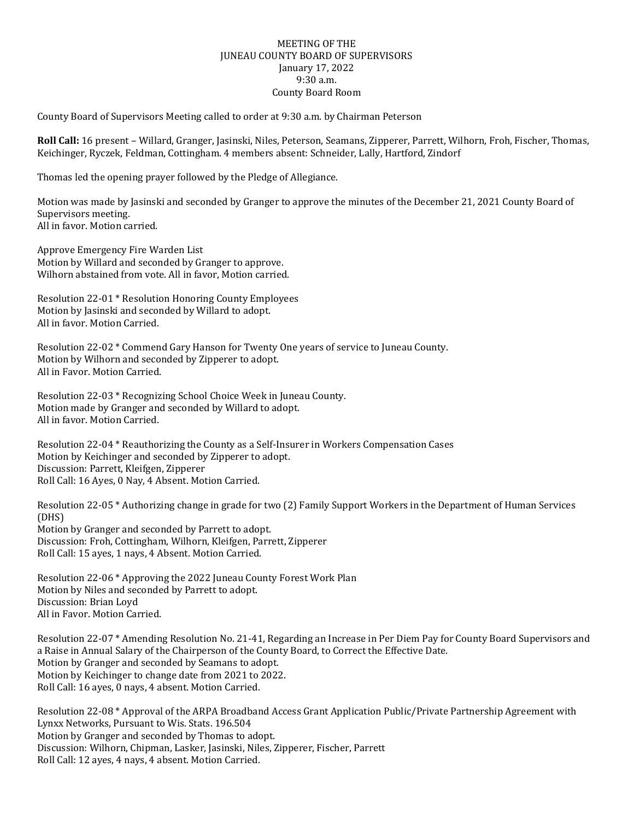## MEETING OF THE JUNEAU COUNTY BOARD OF SUPERVISORS January 17, 2022 9:30 a.m. County Board Room

County Board of Supervisors Meeting called to order at 9:30 a.m. by Chairman Peterson

**Roll Call:** 16 present – Willard, Granger, Jasinski, Niles, Peterson, Seamans, Zipperer, Parrett, Wilhorn, Froh, Fischer, Thomas, Keichinger, Ryczek, Feldman, Cottingham. 4 members absent: Schneider, Lally, Hartford, Zindorf

Thomas led the opening prayer followed by the Pledge of Allegiance.

Motion was made by Jasinski and seconded by Granger to approve the minutes of the December 21, 2021 County Board of Supervisors meeting. All in favor. Motion carried.

Approve Emergency Fire Warden List Motion by Willard and seconded by Granger to approve. Wilhorn abstained from vote. All in favor, Motion carried.

Resolution 22-01 \* Resolution Honoring County Employees Motion by Jasinski and seconded by Willard to adopt. All in favor. Motion Carried.

Resolution 22-02 \* Commend Gary Hanson for Twenty One years of service to Juneau County. Motion by Wilhorn and seconded by Zipperer to adopt. All in Favor. Motion Carried.

Resolution 22-03 \* Recognizing School Choice Week in Juneau County. Motion made by Granger and seconded by Willard to adopt. All in favor. Motion Carried.

Resolution 22-04 \* Reauthorizing the County as a Self-Insurer in Workers Compensation Cases Motion by Keichinger and seconded by Zipperer to adopt. Discussion: Parrett, Kleifgen, Zipperer Roll Call: 16 Ayes, 0 Nay, 4 Absent. Motion Carried.

Resolution 22-05 \* Authorizing change in grade for two (2) Family Support Workers in the Department of Human Services (DHS) Motion by Granger and seconded by Parrett to adopt. Discussion: Froh, Cottingham, Wilhorn, Kleifgen, Parrett, Zipperer Roll Call: 15 ayes, 1 nays, 4 Absent. Motion Carried.

Resolution 22-06 \* Approving the 2022 Juneau County Forest Work Plan Motion by Niles and seconded by Parrett to adopt. Discussion: Brian Loyd All in Favor. Motion Carried.

Resolution 22-07 \* Amending Resolution No. 21-41, Regarding an Increase in Per Diem Pay for County Board Supervisors and a Raise in Annual Salary of the Chairperson of the County Board, to Correct the Effective Date. Motion by Granger and seconded by Seamans to adopt. Motion by Keichinger to change date from 2021 to 2022. Roll Call: 16 ayes, 0 nays, 4 absent. Motion Carried.

Resolution 22-08 \* Approval of the ARPA Broadband Access Grant Application Public/Private Partnership Agreement with Lynxx Networks, Pursuant to Wis. Stats. 196.504 Motion by Granger and seconded by Thomas to adopt. Discussion: Wilhorn, Chipman, Lasker, Jasinski, Niles, Zipperer, Fischer, Parrett Roll Call: 12 ayes, 4 nays, 4 absent. Motion Carried.